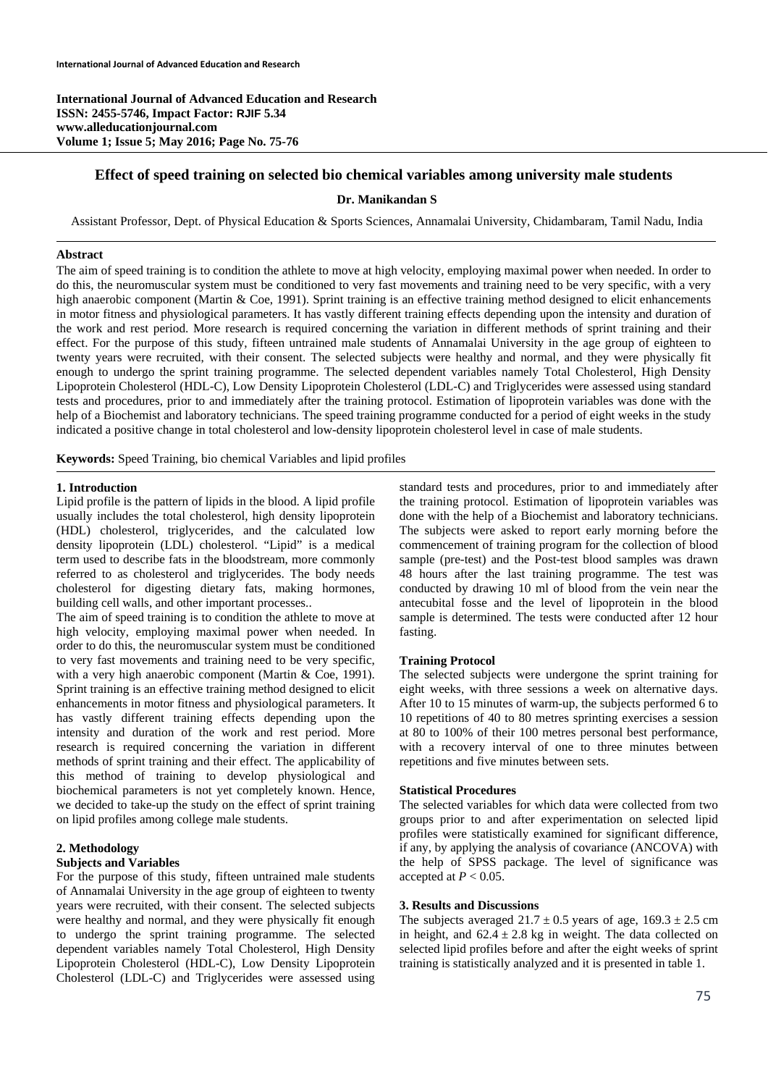**International Journal of Advanced Education and Research ISSN: 2455-5746, Impact Factor: RJIF 5.34 www.alleducationjournal.com Volume 1; Issue 5; May 2016; Page No. 75-76** 

# **Effect of speed training on selected bio chemical variables among university male students**

#### **Dr. Manikandan S**

Assistant Professor, Dept. of Physical Education & Sports Sciences, Annamalai University, Chidambaram, Tamil Nadu, India

#### **Abstract**

The aim of speed training is to condition the athlete to move at high velocity, employing maximal power when needed. In order to do this, the neuromuscular system must be conditioned to very fast movements and training need to be very specific, with a very high anaerobic component (Martin & Coe, 1991). Sprint training is an effective training method designed to elicit enhancements in motor fitness and physiological parameters. It has vastly different training effects depending upon the intensity and duration of the work and rest period. More research is required concerning the variation in different methods of sprint training and their effect. For the purpose of this study, fifteen untrained male students of Annamalai University in the age group of eighteen to twenty years were recruited, with their consent. The selected subjects were healthy and normal, and they were physically fit enough to undergo the sprint training programme. The selected dependent variables namely Total Cholesterol, High Density Lipoprotein Cholesterol (HDL-C), Low Density Lipoprotein Cholesterol (LDL-C) and Triglycerides were assessed using standard tests and procedures, prior to and immediately after the training protocol. Estimation of lipoprotein variables was done with the help of a Biochemist and laboratory technicians. The speed training programme conducted for a period of eight weeks in the study indicated a positive change in total cholesterol and low-density lipoprotein cholesterol level in case of male students.

**Keywords:** Speed Training, bio chemical Variables and lipid profiles

#### **1. Introduction**

Lipid profile is the pattern of lipids in the blood. A lipid profile usually includes the total cholesterol, high density lipoprotein (HDL) cholesterol, triglycerides, and the calculated low density lipoprotein (LDL) cholesterol. "Lipid" is a medical term used to describe fats in the bloodstream, more commonly referred to as cholesterol and triglycerides. The body needs cholesterol for digesting dietary fats, making hormones, building cell walls, and other important processes..

The aim of speed training is to condition the athlete to move at high velocity, employing maximal power when needed. In order to do this, the neuromuscular system must be conditioned to very fast movements and training need to be very specific, with a very high anaerobic component (Martin & Coe, 1991). Sprint training is an effective training method designed to elicit enhancements in motor fitness and physiological parameters. It has vastly different training effects depending upon the intensity and duration of the work and rest period. More research is required concerning the variation in different methods of sprint training and their effect. The applicability of this method of training to develop physiological and biochemical parameters is not yet completely known. Hence, we decided to take-up the study on the effect of sprint training on lipid profiles among college male students.

#### **2. Methodology**

### **Subjects and Variables**

For the purpose of this study, fifteen untrained male students of Annamalai University in the age group of eighteen to twenty years were recruited, with their consent. The selected subjects were healthy and normal, and they were physically fit enough to undergo the sprint training programme. The selected dependent variables namely Total Cholesterol, High Density Lipoprotein Cholesterol (HDL-C), Low Density Lipoprotein Cholesterol (LDL-C) and Triglycerides were assessed using

standard tests and procedures, prior to and immediately after the training protocol. Estimation of lipoprotein variables was done with the help of a Biochemist and laboratory technicians. The subjects were asked to report early morning before the commencement of training program for the collection of blood sample (pre-test) and the Post-test blood samples was drawn 48 hours after the last training programme. The test was conducted by drawing 10 ml of blood from the vein near the antecubital fosse and the level of lipoprotein in the blood sample is determined. The tests were conducted after 12 hour fasting.

### **Training Protocol**

The selected subjects were undergone the sprint training for eight weeks, with three sessions a week on alternative days. After 10 to 15 minutes of warm-up, the subjects performed 6 to 10 repetitions of 40 to 80 metres sprinting exercises a session at 80 to 100% of their 100 metres personal best performance, with a recovery interval of one to three minutes between repetitions and five minutes between sets.

#### **Statistical Procedures**

The selected variables for which data were collected from two groups prior to and after experimentation on selected lipid profiles were statistically examined for significant difference, if any, by applying the analysis of covariance (ANCOVA) with the help of SPSS package. The level of significance was accepted at  $P < 0.05$ .

### **3. Results and Discussions**

The subjects averaged  $21.7 \pm 0.5$  years of age,  $169.3 \pm 2.5$  cm in height, and  $62.4 \pm 2.8$  kg in weight. The data collected on selected lipid profiles before and after the eight weeks of sprint training is statistically analyzed and it is presented in table 1.